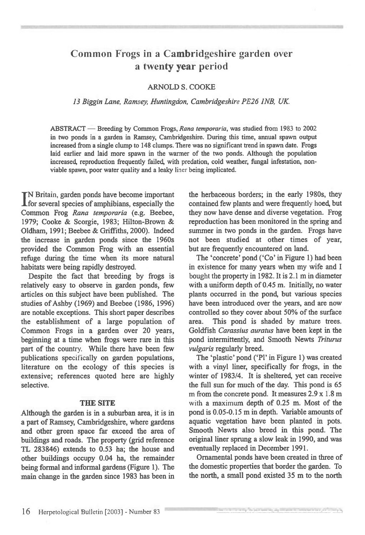# **Common Frogs in a Cambridgeshire garden over a twenty year period**

# ARNOLD S. COOKE

#### *13 Biggin Lane, Ramsey, Huntingdon, Cambridgeshire PE26 1NB, UK*

ABSTRACT — Breeding by Common Frogs, *Rana temporaria,* was studied from 1983 to 2002 in two ponds in a garden in Ramsey, Cambridgeshire. During this time, annual spawn output increased from a single clump to 148 clumps. There was no significant trend in spawn date. Frogs laid earlier and laid more spawn in the warmer of the two ponds. Although the population increased, reproduction frequently failed, with predation, cold weather, fungal infestation, nonviable spawn, poor water quality and a leaky liner being implicated.

I N Britain, garden ponds have become important for several species of amphibians, especially the Common Frog *Rana temporaria* (e.g. Beebee, 1979; Cooke & Scorgie, 1983; Hilton-Brown & Oldham, 1991; Beebee & Griffiths, 2000). Indeed the increase in garden ponds since the 1960s provided the Common Frog with an essential refuge during the time when its more natural habitats were being rapidly destroyed.

Despite the fact that breeding by frogs is relatively easy to observe in garden ponds, few articles on this subject have been published. The studies of Ashby (1969) and Beebee (1986, 1996) are notable exceptions. This short paper describes the establishment of a large population of Common Frogs in a garden over 20 years, beginning at a time when frogs were rare in this part of the country. While there have been few publications specifically on garden populations, literature on the ecology of this species is extensive; references quoted here are highly selective.

#### **THE SITE**

Although the garden is in a suburban area, it is in a part of Ramsey, Cambridgeshire, where gardens and other green space far exceed the area of buildings and roads. The property (grid reference TL 283846) extends to 0.53 ha; the house and other buildings occupy 0.04 ha, the remainder being formal and informal gardens (Figure 1). The main change in the garden since 1983 has been in

the herbaceous borders; in the early 1980s, they contained few plants and were frequently hoed, but they now have dense and diverse vegetation. Frog reproduction has been monitored in the spring and summer in two ponds in the garden. Frogs have not been studied at other times of year, but are frequently encountered on land.

The 'concrete' pond ('Co' in Figure 1) had been in existence for many years when my wife and I bought the property in 1982. It is 2.1 m in diameter with a uniform depth of 0.45 m. Initially, no water plants occurred in the pond, but various species have been introduced over the years, and are now controlled so they cover about 50% of the surface area. This pond is shaded by mature trees. Goldfish *Carassius auratus* have been kept in the pond intermittently, and Smooth Newts *Triturus vulgaris* regularly breed.

The 'plastic' pond (`P1' in Figure 1) was created with a vinyl liner, specifically for frogs, in the winter of 1983/4. It is sheltered, yet can receive the full sun for much of the day. This pond is 65 **m** from the concrete pond. It measures 2.9 x 1.8 m with a maximum depth of 0.25 m. Most of the pond is 0.05-0.15 m in depth. Variable amounts of aquatic vegetation have been planted in pots. Smooth Newts also breed in this pond. The original liner sprung a slow leak in 1990, and was eventually replaced in December 1991.

Ornamental ponds have been created in three of the domestic properties that border the garden. To the north, a small pond existed 35 m to the north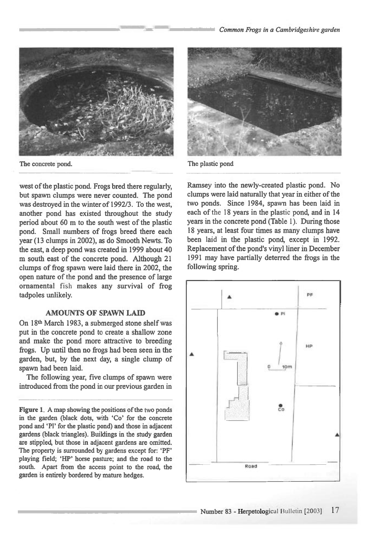

The concrete pond. The plastic pond **The plastic pond** 

**west of the plastic pond. Frogs bred there regularly, but spawn clumps were never counted. The pond was destroyed in the winter of 1992/3. To the west, another pond has existed throughout the study period about 60 m to the south west of the plastic pond. Small numbers of frogs breed there each year (13 clumps in 2002), as do Smooth Newts. To the east, a deep pond was created in 1999 about 40 m south east of the concrete pond. Although 21 clumps of frog spawn were laid there in 2002, the open nature of the pond and the presence of large ornamental fish makes any survival of frog tadpoles unlikely.** 

## **AMOUNTS OF SPAWN LAID**

**On 18th March 1983, a submerged stone shelf was put in the concrete pond to create a shallow zone and make the pond more attractive to breeding frogs. Up until then no frogs had been seen in the garden, but, by the next day, a single clump of spawn had been laid.** 

**The following year, five clumps of spawn were introduced from the pond in our previous garden in** 

**Figure 1. A map showing the positions of the two ponds in the garden (black dots, with 'Co' for the concrete**  pond and 'Pl' for the plastic pond) and those in adjacent **gardens (black triangles). Buildings in the study garden are stippled, but those in adjacent gardens are omitted. The property is surrounded by gardens except for: `PF' playing field; 'HP' horse pasture; and the road to the south. Apart from the access point to the road, the garden is entirely bordered by mature hedges.** 



**Ramsey into the newly-created plastic pond. No clumps were laid naturally that year in either of the two ponds. Since 1984, spawn has been laid in each of the 18 years in the plastic pond, and in 14 years in the concrete pond (Table 1). During those 18 years, at least four times as many clumps have been laid in the plastic pond, except in 1992. Replacement of the pond's vinyl liner in December 1991 may have partially deterred the frogs in the following spring.** 

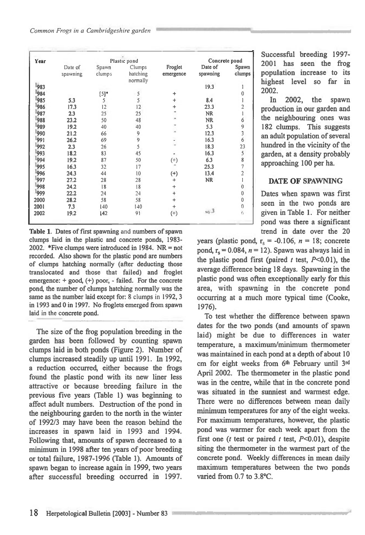| Year | Plastic pond        |                 |                                |                      | Concrete pond       |                                            |
|------|---------------------|-----------------|--------------------------------|----------------------|---------------------|--------------------------------------------|
|      | Date of<br>spawning | Spawn<br>clumps | Clumps<br>hatching<br>normally | Froglet<br>emergence | Date of<br>spawning | Spawn<br>clumps                            |
| 983  |                     |                 |                                |                      | 19.3                |                                            |
| 1984 |                     | $[5]$ *         | 5                              | ÷                    |                     | $\bf{0}$                                   |
| 985  | 5.3                 | 5               | 5                              | ÷                    | 8.4                 | 1                                          |
| 986  | 17.3                | 12              | 12                             | ÷                    | 23.3                | $\overline{a}$                             |
| 987  | 2.3                 | 25              | 25                             |                      | <b>NR</b>           | $\mathbf{1}$                               |
| 988  | 23.2                | 50              | 48                             |                      | <b>NR</b>           | 6                                          |
| 989  | 19.2                | 40              | 40                             |                      | 5.3                 |                                            |
| 990  | 21.2                | 66              | 9                              |                      | 12.3                | $\begin{array}{c} 9 \\ 3 \\ 6 \end{array}$ |
| 991  | 26.2                | 69              | 9                              |                      | 16.3                |                                            |
| 992  | 2.3                 | 26              | 5                              |                      | 18.3                | 23                                         |
| 993  | 18.2                | 83              | 45                             |                      | 16.3                | 5                                          |
| 994  | 19.2                | 87              | 50                             | $^{(+)}$             | 6.3                 |                                            |
| 995  | 16.3                | 32              | 17                             |                      | 25.3                |                                            |
| 996  | 24.3                | 44              | 10                             | $^{(+)}$             | 13.4                | 8721                                       |
| 997  | 27.2                | 28              | 28                             | $+$                  | <b>NR</b>           |                                            |
| 998  | 24.2                | 18              | 18                             | $\ddot{}$            |                     | $\boldsymbol{0}$                           |
| 1999 | 22.2                | 24              | 24                             | $\ddot{}$            |                     | $\mathbf 0$                                |
| 2000 | 28.2                | 58              | 58                             | $+$                  |                     | 0                                          |
| 2001 | 7.3                 | 140             | 140                            | $\ddot{}$            |                     | $\theta$                                   |
| 2002 | 19.2                | 142             | 91                             | $^{(+)}$             | $19 - 3$            | 6                                          |

**Table 1. Dates of first spawning** and **numbers of spawn clumps laid in the plastic and concrete ponds, 1983- 2002. \*Five clumps were introduced in 1984. NR = not recorded. Also shown for the plastic pond are numbers of clumps hatching normally (after deducting those translocated and those that failed) and froglet emergence: + good, (+) poor, - failed. For the concrete pond, the number of clumps hatching normally was the same as the number laid except for:** 8 clumps in 1992, **3 in 1993 and 0 in 1997. No froglets emerged from spawn laid** in the **concrete pond.** 

**The size of the frog population breeding in the garden has been followed by counting spawn clumps laid in both ponds (Figure 2). Number of clumps increased steadily up until 1991. In 1992, a reduction occurred, either because the frogs found the plastic pond with its new liner less attractive or because breeding failure in the previous five years (Table 1) was beginning to affect adult numbers. Destruction of the pond in the neighbouring garden to the north in the winter of 1992/3 may have been the reason behind the increases in spawn laid in 1993 and 1994. Following that, amounts of spawn decreased to a minimum in 1998 after ten years of poor breeding or total failure, 1987-1996 (Table 1). Amounts of spawn began to increase again in 1999, two years after successful breeding occurred in 1997.** 

**Successful breeding 1997- 2001 has seen the frog population increase to its highest level so far in 2002.** 

**In 2002, the spawn production in our garden and the neighbouring ones was 182 clumps. This suggests an adult population of several hundred in the vicinity of the garden, at a density probably approaching 100 per ha.** 

# **DATE OF SPAWNING**

**Dates when spawn was first seen in the two ponds are given in Table 1. For neither pond was there a significant trend in date over the 20** 

years (plastic pond,  $r_s = -0.106$ ,  $n = 18$ ; concrete pond,  $r_s = 0.084$ ,  $n = 12$ ). Spawn was always laid in **the plastic pond first (paired** *t* **test, P<0.01), the average difference being 18 days. Spawning in the plastic pond was often exceptionally early for this area, with spawning in the concrete pond occurring at a much more typical time (Cooke, 1976).** 

**To test whether the difference between spawn dates for the two ponds (and amounts of spawn laid) might be due to differences in water temperature, a maximum/minimum thermometer was maintained in each pond at a depth of about 10 cm for eight weeks from 6th February until 3rd April 2002. The thermometer in the plastic pond was in the centre, while that in the concrete pond was situated in the sunniest and warmest edge. There were no differences between mean daily minimum temperatures for any of the eight weeks. For maximum temperatures, however, the plastic pond was warmer for each week apart from the first one** *(t* **test or paired t test, P<0.01), despite siting the thermometer in the warmest part of the concrete pond. Weekly differences in mean daily maximum temperatures between the two ponds varied from 0.7 to 3.8°C.**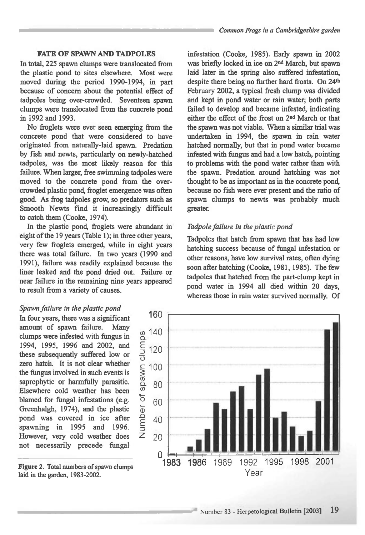## **FATE OF SPAWN AND TADPOLES**

**In total, 225 spawn clumps were translocated from the plastic pond to sites elsewhere. Most were moved during the period 1990-1994, in part because of concern about the potential effect of tadpoles being over-crowded. Seventeen spawn clumps were translocated from the concrete pond in 1992 and 1993.** 

**No froglets were ever seen emerging from the concrete pond that were considered to have originated from naturally-laid spawn. Predation by fish and newts, particularly on newly-hatched tadpoles, was the most likely reason for this failure. When larger, free swimming tadpoles were moved to the concrete pond from the overcrowded plastic pond, froglet emergence was often good. As frog tadpoles grow, so predators such as Smooth Newts find it increasingly difficult to catch them (Cooke, 1974).** 

**In the plastic pond, froglets were abundant in eight of the 19 years (Table 1); in three other years, very few froglets emerged, while in eight years there was total failure. In two years (1990 and 1991), failure was readily explained because the liner leaked and the pond dried out. Failure or near failure in the remaining nine years appeared to result from a variety of causes.** 

#### *Spawn failure in the plastic pond*

**In four years, there was a significant amount of spawn** failure. **Many clumps were infested with fungus in 1994, 1995, 1996 and 2002, and these subsequently suffered low or zero hatch. It is not clear whether the fungus involved in such events is saprophytic or harmfully parasitic. Elsewhere cold weather has been blamed for fungal infestations (e.g. Greenhalgh, 1974), and the plastic pond was covered in ice after spawning in 1995 and 1996. However, very cold weather does not necessarily precede fungal** 

**Figure 2. Total numbers of spawn clumps laid in the garden, 1983-2002.** 

**infestation (Cooke, 1985). Early spawn in 2002 was briefly locked in ice on 2nd March, but spawn laid later in the spring also suffered infestation, despite there being no further hard frosts. On 24th February 2002, a typical fresh clump was divided and kept in pond water or rain water; both parts failed to develop and became infested, indicating either the effect of the frost on 2nd March or that the spawn was not viable. When a similar trial was undertaken in 1994, the spawn in rain water hatched normally, but that in pond water became infested with fungus and had a low hatch, pointing to problems with the pond water rather than with the spawn. Predation around hatching was not thought to be as important as in the concrete pond, because no fish were ever present and the ratio of spawn clumps to newts was probably much greater.** 

### *Tadpole failure in the plastic pond*

**Tadpoles that hatch from spawn that has had low hatching success because of fungal infestation or other reasons, have low survival rates, often dying soon after hatching (Cooke, 1981, 1985). The few tadpoles that hatched from the part-clump kept in pond water in 1994 all died within 20 days, whereas those in rain water survived normally. Of** 

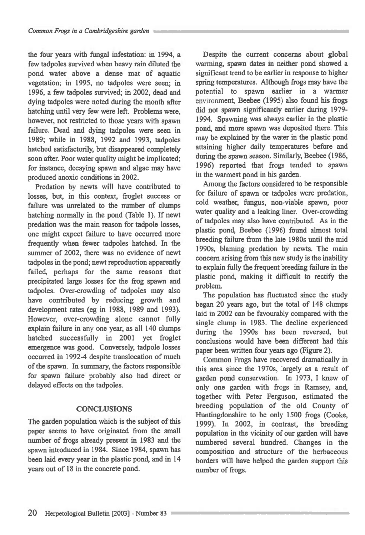**the four years with fungal infestation: in 1994, a few tadpoles survived when heavy rain diluted the pond water above a dense mat of aquatic vegetation; in 1995, no tadpoles were seen; in 1996, a few tadpoles survived; in 2002, dead and dying tadpoles were noted during the month after hatching until very few were left. Problems were, however, not restricted to those years with spawn failure. Dead and dying tadpoles were seen in 1989; while in 1988, 1992 and 1993, tadpoles hatched satisfactorily, but disappeared completely soon after. Poor water quality might be implicated; for instance, decaying spawn and algae may have produced anoxic conditions in 2002.** 

**Predation by newts will have contributed to losses, but, in this context, froglet success or failure was unrelated to the number of clumps hatching normally in the pond (Table 1). If newt predation was the main reason for tadpole losses, one might expect failure to have occurred more frequently when fewer tadpoles hatched. In the summer of 2002, there was no evidence of newt tadpoles in the pond; newt reproduction apparently failed, perhaps for the same reasons that precipitated large losses for the frog spawn and tadpoles. Over-crowding of tadpoles may also have contributed by reducing growth and development rates (eg in 1988, 1989 and 1993). However, over-crowding alone cannot fully explain failure in any one year, as all 140 clumps hatched successfully in 2001 yet froglet emergence was good. Conversely, tadpole losses occurred in 1992-4 despite translocation of much of the spawn. In summary, the factors responsible for spawn failure probably also had direct or delayed effects on the tadpoles.** 

# **CONCLUSIONS**

**The garden population which is the subject of this paper seems to have originated from the small number of frogs already present in 1983 and the spawn introduced in 1984. Since 1984, spawn has been laid every year in the plastic pond, and in 14 years out of 18 in the concrete pond.** 

**Despite the current concerns about global warming, spawn dates in neither pond showed a significant trend to be earlier in response to higher spring temperatures. Although frogs may have the potential to spawn earlier in a warmer environment, Beebee (1995) also found his frogs did not spawn significantly earlier during 1979- 1994. Spawning was always earlier in the plastic pond, and more spawn was deposited there. This may be explained by the water in the plastic pond attaining higher daily temperatures before and during the spawn season. Similarly, Beebee (1986, 1996) reported that frogs tended to spawn in the warmest pond in his garden.** 

**Among the factors considered to be responsible for failure of spawn or tadpoles were predation, cold weather, fungus, non-viable spawn, poor water quality and a leaking liner. Over-crowding of tadpoles may also have contributed. As in the plastic pond, Beebee (1996) found almost total breeding failure from the late 1980s until the mid 1990s, blaming predation by newts. The main concern arising from this new study is the inability to explain fully the frequent breeding failure in the plastic pond, making it difficult to rectify the problem.** 

**The population has fluctuated since the study began 20 years ago, but the total of 148 clumps laid in 2002 can be favourably compared with the single clump in 1983. The decline experienced during the 1990s has been reversed, but conclusions would have been different had this paper been written four years ago (Figure 2).** 

**Common Frogs have recovered dramatically in this area since the 1970s, largely as a result of garden pond conservation. In 1973, I knew of only one garden with frogs in Ramsey, and, together with Peter Ferguson, estimated the breeding population of the old County of Huntingdonshire to be only 1500 frogs (Cooke, 1999). In 2002, in contrast, the breeding population in the vicinity of our garden will have numbered several hundred. Changes in the composition and structure of the herbaceous borders will have helped the garden support this number of frogs.**